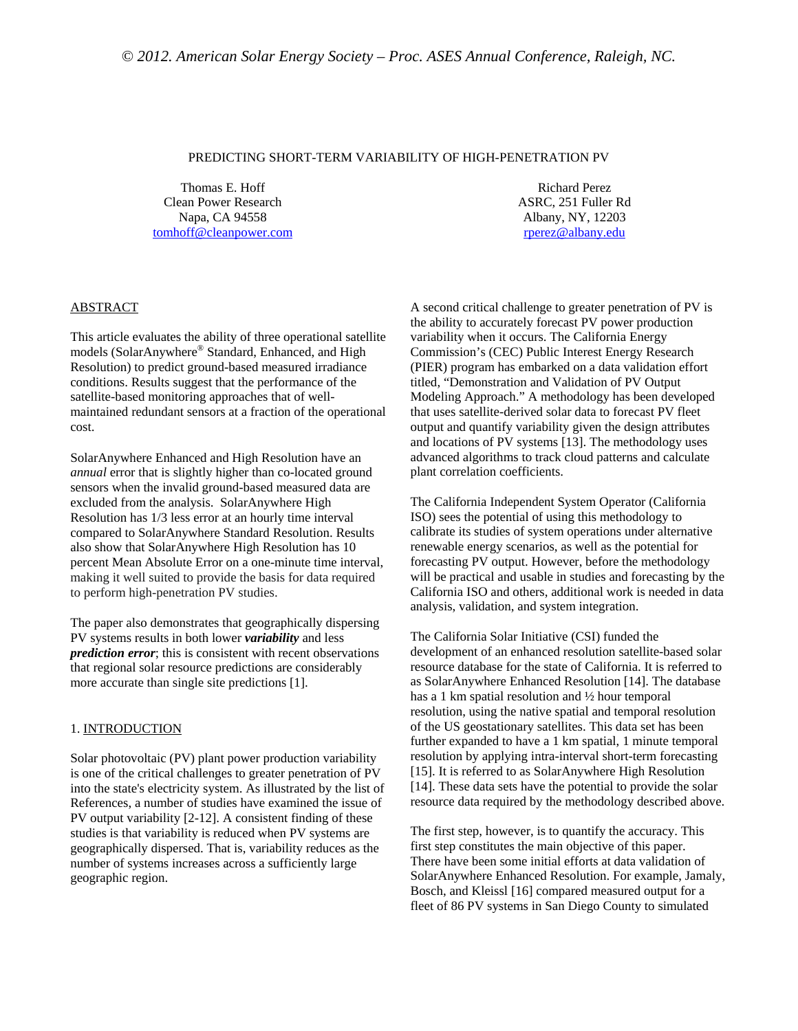#### PREDICTING SHORT-TERM VARIABILITY OF HIGH-PENETRATION PV

Thomas E. Hoff Clean Power Research Napa, CA 94558 tomhoff@cleanpower.com

Richard Perez ASRC, 251 Fuller Rd Albany, NY, 12203 rperez@albany.edu

# ABSTRACT

This article evaluates the ability of three operational satellite models (SolarAnywhere® Standard, Enhanced, and High Resolution) to predict ground-based measured irradiance conditions. Results suggest that the performance of the satellite-based monitoring approaches that of wellmaintained redundant sensors at a fraction of the operational cost.

SolarAnywhere Enhanced and High Resolution have an *annual* error that is slightly higher than co-located ground sensors when the invalid ground-based measured data are excluded from the analysis. SolarAnywhere High Resolution has 1/3 less error at an hourly time interval compared to SolarAnywhere Standard Resolution. Results also show that SolarAnywhere High Resolution has 10 percent Mean Absolute Error on a one-minute time interval, making it well suited to provide the basis for data required to perform high-penetration PV studies.

The paper also demonstrates that geographically dispersing PV systems results in both lower *variability* and less *prediction error*; this is consistent with recent observations that regional solar resource predictions are considerably more accurate than single site predictions [1].

### 1. INTRODUCTION

Solar photovoltaic (PV) plant power production variability is one of the critical challenges to greater penetration of PV into the state's electricity system. As illustrated by the list of References, a number of studies have examined the issue of PV output variability [2-12]. A consistent finding of these studies is that variability is reduced when PV systems are geographically dispersed. That is, variability reduces as the number of systems increases across a sufficiently large geographic region.

A second critical challenge to greater penetration of PV is the ability to accurately forecast PV power production variability when it occurs. The California Energy Commission's (CEC) Public Interest Energy Research (PIER) program has embarked on a data validation effort titled, "Demonstration and Validation of PV Output Modeling Approach." A methodology has been developed that uses satellite-derived solar data to forecast PV fleet output and quantify variability given the design attributes and locations of PV systems [13]. The methodology uses advanced algorithms to track cloud patterns and calculate plant correlation coefficients.

The California Independent System Operator (California ISO) sees the potential of using this methodology to calibrate its studies of system operations under alternative renewable energy scenarios, as well as the potential for forecasting PV output. However, before the methodology will be practical and usable in studies and forecasting by the California ISO and others, additional work is needed in data analysis, validation, and system integration.

The California Solar Initiative (CSI) funded the development of an enhanced resolution satellite-based solar resource database for the state of California. It is referred to as SolarAnywhere Enhanced Resolution [14]. The database has a 1 km spatial resolution and ½ hour temporal resolution, using the native spatial and temporal resolution of the US geostationary satellites. This data set has been further expanded to have a 1 km spatial, 1 minute temporal resolution by applying intra-interval short-term forecasting [15]. It is referred to as SolarAnywhere High Resolution [14]. These data sets have the potential to provide the solar resource data required by the methodology described above.

The first step, however, is to quantify the accuracy. This first step constitutes the main objective of this paper. There have been some initial efforts at data validation of SolarAnywhere Enhanced Resolution. For example, Jamaly, Bosch, and Kleissl [16] compared measured output for a fleet of 86 PV systems in San Diego County to simulated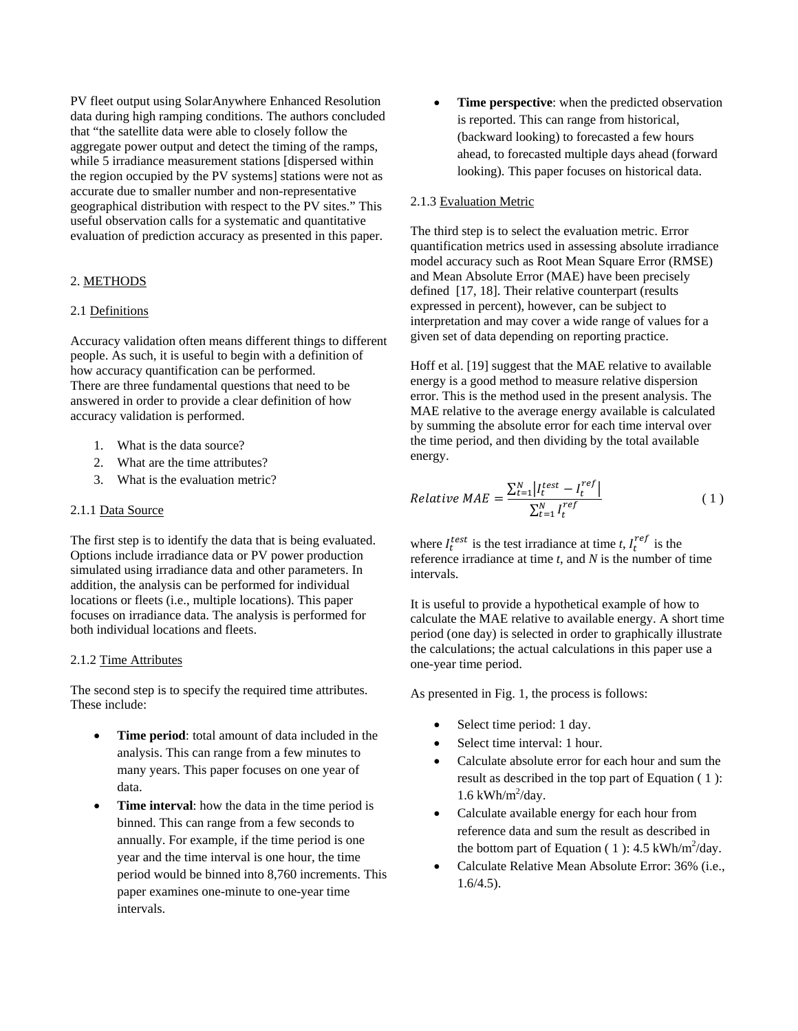PV fleet output using SolarAnywhere Enhanced Resolution data during high ramping conditions. The authors concluded that "the satellite data were able to closely follow the aggregate power output and detect the timing of the ramps, while 5 irradiance measurement stations [dispersed within] the region occupied by the PV systems] stations were not as accurate due to smaller number and non-representative geographical distribution with respect to the PV sites." This useful observation calls for a systematic and quantitative evaluation of prediction accuracy as presented in this paper.

## 2. METHODS

### 2.1 Definitions

Accuracy validation often means different things to different people. As such, it is useful to begin with a definition of how accuracy quantification can be performed. There are three fundamental questions that need to be answered in order to provide a clear definition of how accuracy validation is performed.

- 1. What is the data source?
- 2. What are the time attributes?
- 3. What is the evaluation metric?

### 2.1.1 Data Source

The first step is to identify the data that is being evaluated. Options include irradiance data or PV power production simulated using irradiance data and other parameters. In addition, the analysis can be performed for individual locations or fleets (i.e., multiple locations). This paper focuses on irradiance data. The analysis is performed for both individual locations and fleets.

#### 2.1.2 Time Attributes

The second step is to specify the required time attributes. These include:

- **Time period**: total amount of data included in the analysis. This can range from a few minutes to many years. This paper focuses on one year of data.
- **Time interval**: how the data in the time period is binned. This can range from a few seconds to annually. For example, if the time period is one year and the time interval is one hour, the time period would be binned into 8,760 increments. This paper examines one-minute to one-year time intervals.

 **Time perspective**: when the predicted observation is reported. This can range from historical, (backward looking) to forecasted a few hours ahead, to forecasted multiple days ahead (forward looking). This paper focuses on historical data.

### 2.1.3 Evaluation Metric

The third step is to select the evaluation metric. Error quantification metrics used in assessing absolute irradiance model accuracy such as Root Mean Square Error (RMSE) and Mean Absolute Error (MAE) have been precisely defined [17, 18]. Their relative counterpart (results expressed in percent), however, can be subject to interpretation and may cover a wide range of values for a given set of data depending on reporting practice.

Hoff et al. [19] suggest that the MAE relative to available energy is a good method to measure relative dispersion error. This is the method used in the present analysis. The MAE relative to the average energy available is calculated by summing the absolute error for each time interval over the time period, and then dividing by the total available energy.

$$
Relative \; MAE = \frac{\sum_{t=1}^{N} \left| I_t^{test} - I_t^{ref} \right|}{\sum_{t=1}^{N} I_t^{ref}} \tag{1}
$$

where  $I_t^{test}$  is the test irradiance at time *t*,  $I_t^{ref}$  is the reference irradiance at time *t*, and *N* is the number of time intervals.

It is useful to provide a hypothetical example of how to calculate the MAE relative to available energy. A short time period (one day) is selected in order to graphically illustrate the calculations; the actual calculations in this paper use a one-year time period.

As presented in Fig. 1, the process is follows:

- Select time period: 1 day.
- Select time interval: 1 hour.
- Calculate absolute error for each hour and sum the result as described in the top part of Equation ( 1 ):  $1.6$  kWh/m<sup>2</sup>/day.
- Calculate available energy for each hour from reference data and sum the result as described in the bottom part of Equation (1):  $4.5 \text{ kWh/m}^2/\text{day}$ .
- Calculate Relative Mean Absolute Error: 36% (i.e., 1.6/4.5).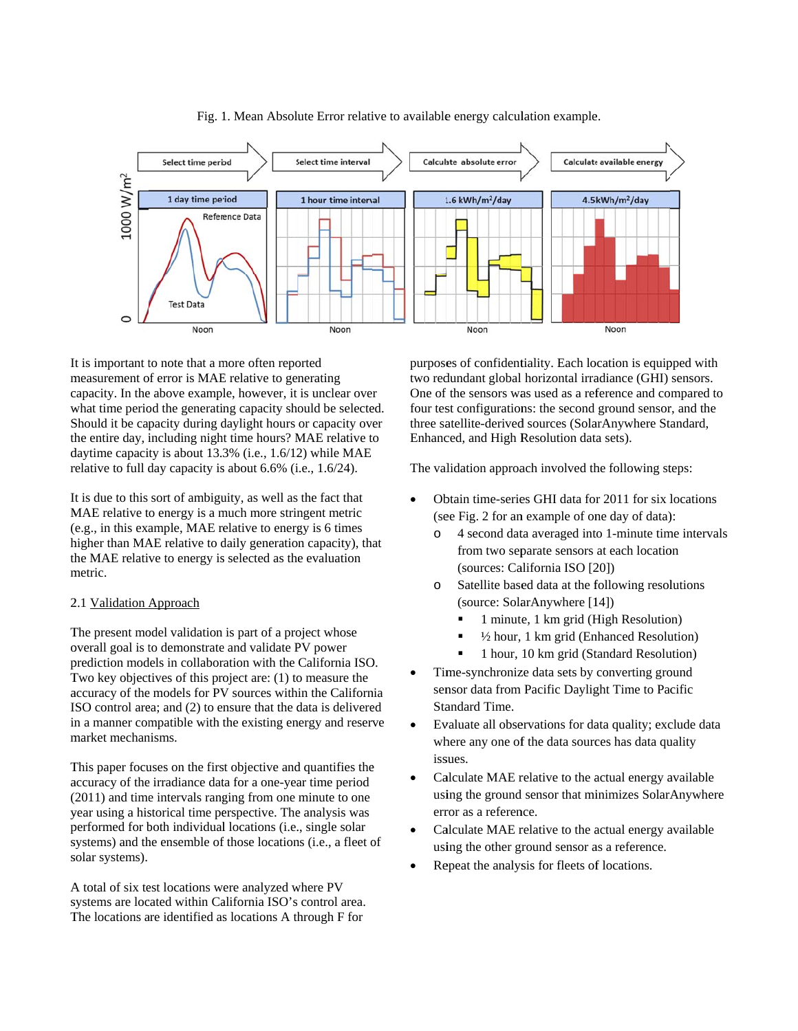

Fig. 1. Mean Absolute Error relative to available energy calculation example.

It is important to note that a more often reported measurement of error is MAE relative to generating capacity. In the above example, however, it is unclear over what time period the generating capacity should be selected. Should it be capacity during daylight hours or capacity over the entire day, including night time hours? MAE relative to daytime capacity is about 13.3% (i.e., 1.6/12) while MAE relative to full day capacity is about 6.6% (i.e., 1.6/24).

It is due to this sort of ambiguity, as well as the fact that MAE relative to energy is a much more stringent metric (e.g., in this example, MAE relative to energy is 6 times higher than MAE relative to daily generation capacity), that the MAE relative to energy is selected as the evaluation m metric.

### 2.1 Validation Approach

The present model validation is part of a project whose overall goal is to demonstrate and validate PV power prediction models in collaboration with the California ISO. Two key objectives of this project are: (1) to measure the accuracy of the models for PV sources within the California ISO control area; and (2) to ensure that the data is delivered in a manner compatible with the existing energy and reserve market mechanisms.

This paper focuses on the first objective and quantifies the accuracy of the irradiance data for a one-year time period (2011) and time intervals ranging from one minute to one year using a historical time perspective. The analysis was performed for both individual locations (i.e., single solar systems) and the ensemble of those locations (i.e., a fleet o s solar systems). e<br>,<br>of

A total of six test locations were analyzed where PV systems are located within California ISO's control area. The locations are identified as locations A through F for

purposes of confidentiality. Each location is equipped with two redundant global horizontal irradiance (GHI) sensors. One of the sensors was used as a reference and compared to four test configurations: the second ground sensor, and the three satellite-derived sources (SolarAnywhere Standard, Enhanc ced, and High R Resolution dat a sets).

The validation approach involved the following steps:

- Obtain time-series GHI data for 2011 for six locations (see Fig. 2 for an example of one day of data):
	- o 4 second data averaged into 1-minute time intervals from two separate sensors at each location (sources: California ISO [20])
	- o Satellite based data at the following resolutions (source: SolarAnywhere [14])
		- 1 minute, 1 km grid (High Resolution)
		- $\blacksquare$  1/2 hour, 1 km grid (Enhanced Resolution)
		- 1 hour, 10 km grid (Standard Resolution)
- Time-synchronize data sets by converting ground sensor data from Pacific Daylight Time to Pacific Standard Time.
- Evaluate all observations for data quality; exclude data where any one of the data sources has data quality iss sues.
- Calculate MAE relative to the actual energy available using the ground sensor that minimizes SolarAnywhere error as a reference.
- Calculate MAE relative to the actual energy available using the other ground sensor as a reference.
- Repeat the analysis for fleets of locations.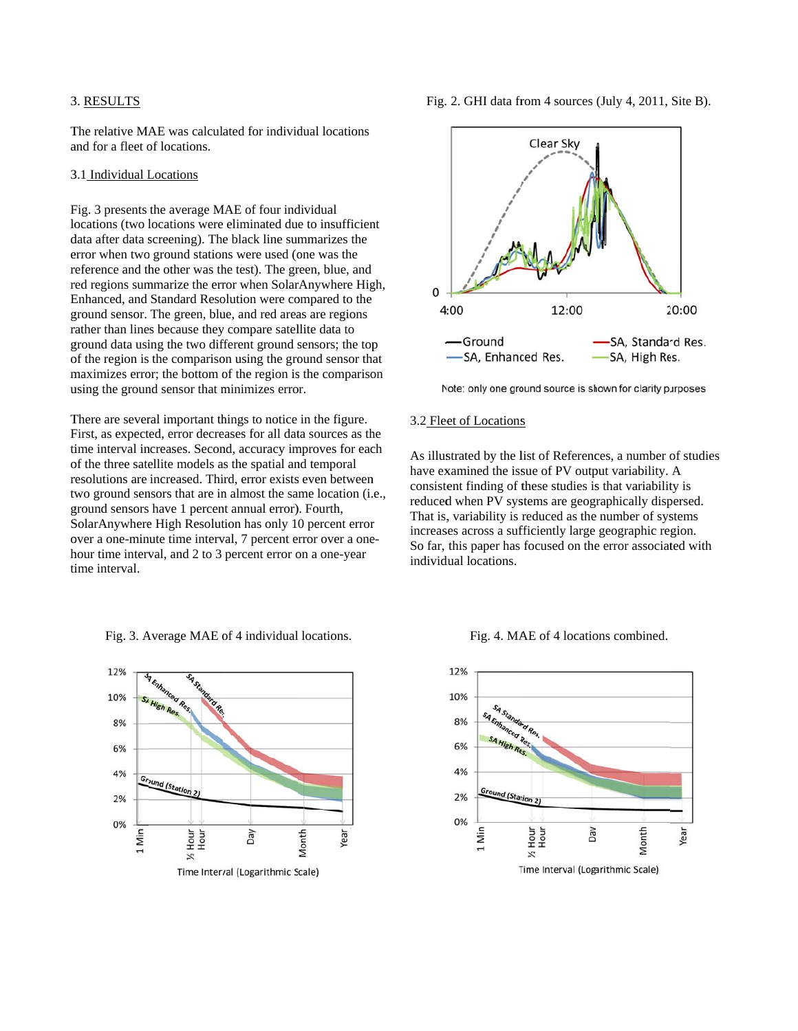#### 3 3. RESULTS

The relative MAE was calculated for individual locations and for a fleet of locations.

#### 3 3.1 Individual L Locations

Fig. 3 presents the average MAE of four individual locations (two locations were eliminated due to insufficient data after data screening). The black line summarizes the error when two ground stations were used (one was the reference and the other was the test). The green, blue, and red regions summarize the error when SolarAnywhere High, Enhanced, and Standard Resolution were compared to the ground sensor. The green, blue, and red areas are regions rather than lines because they compare satellite data to ground data using the two different ground sensors; the top ground data using the two different ground sensors; the top<br>of the region is the comparison using the ground sensor that maximizes error; the bottom of the region is the comparison using the ground sensor that minimizes error.

There are several important things to notice in the figure. First, as expected, error decreases for all data sources as the time interval increases. Second, accuracy improves for each of the three satellite models as the spatial and temporal resolutions are increased. Third, error exists even between resolutions are increased. Third, error exists even between<br>two ground sensors that are in almost the same location (i.e., ground sensors have 1 percent annual error). Fourth, SolarAnywhere High Resolution has only 10 percent error SolarAnywhere High Resolution has only 10 percent error<br>over a one-minute time interval, 7 percent error over a onehour time interval, and 2 to 3 percent error on a one-year time interval.

> 12% 10% SA High Res. 8% 6% 4% Ground (Statio 2% 0% Hour<br>Hour Month 1 Min Day /ear Time Interval (Logarithmic Scale)

Fig. 3. Average MAE of 4 individual locations.

Fig. 2. GHI data from 4 sources (July 4, 2011, Site B).



Note: only one ground source is shown for clarity purposes

### 3.2 Fleet of Locations

As illustrated by the list of References, a number of studies have examined the issue of PV output variability. A consistent finding of these studies is that variability is reduced when PV systems are geographically dispersed. That is, variability is reduced as the number of systems increases across a sufficiently large geographic region. So far, this paper has focused on the error associated with individ dual locations.

Fig. 4. MAE of 4 locations combined.

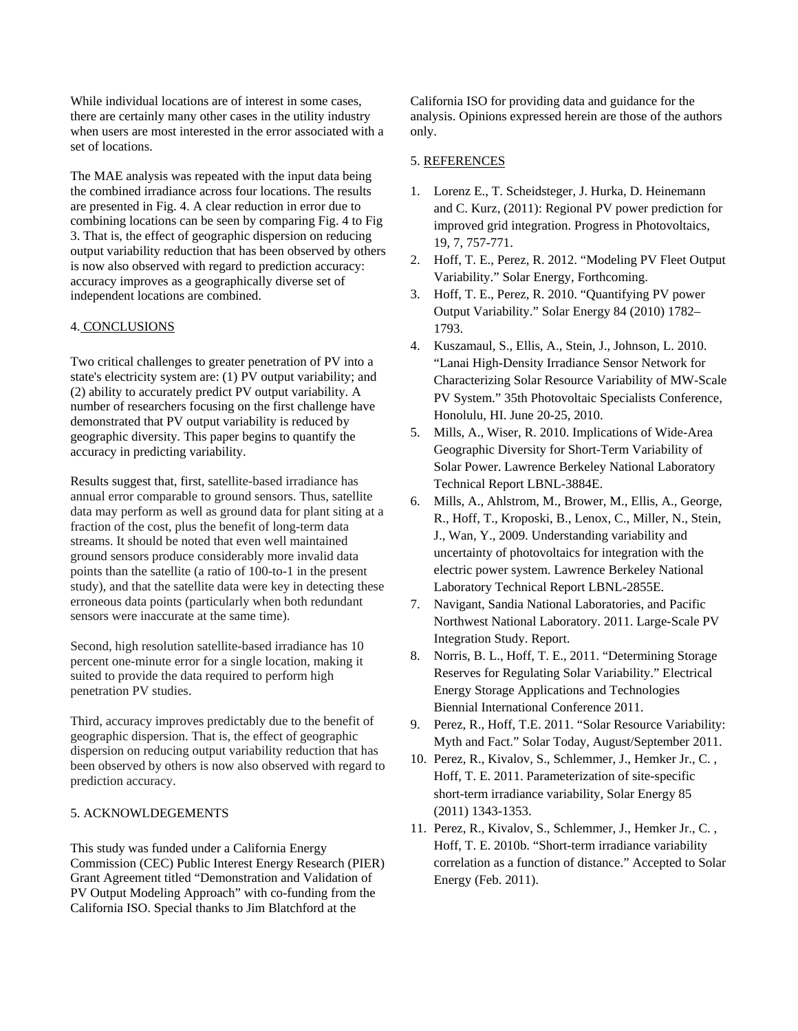While individual locations are of interest in some cases, there are certainly many other cases in the utility industry when users are most interested in the error associated with a set of locations.

The MAE analysis was repeated with the input data being the combined irradiance across four locations. The results are presented in Fig. 4. A clear reduction in error due to combining locations can be seen by comparing Fig. 4 to Fig 3. That is, the effect of geographic dispersion on reducing output variability reduction that has been observed by others is now also observed with regard to prediction accuracy: accuracy improves as a geographically diverse set of independent locations are combined.

### 4. CONCLUSIONS

Two critical challenges to greater penetration of PV into a state's electricity system are: (1) PV output variability; and (2) ability to accurately predict PV output variability. A number of researchers focusing on the first challenge have demonstrated that PV output variability is reduced by geographic diversity. This paper begins to quantify the accuracy in predicting variability.

Results suggest that, first, satellite-based irradiance has annual error comparable to ground sensors. Thus, satellite data may perform as well as ground data for plant siting at a fraction of the cost, plus the benefit of long-term data streams. It should be noted that even well maintained ground sensors produce considerably more invalid data points than the satellite (a ratio of 100-to-1 in the present study), and that the satellite data were key in detecting these erroneous data points (particularly when both redundant sensors were inaccurate at the same time).

Second, high resolution satellite-based irradiance has 10 percent one-minute error for a single location, making it suited to provide the data required to perform high penetration PV studies.

Third, accuracy improves predictably due to the benefit of geographic dispersion. That is, the effect of geographic dispersion on reducing output variability reduction that has been observed by others is now also observed with regard to prediction accuracy.

# 5. ACKNOWLDEGEMENTS

This study was funded under a California Energy Commission (CEC) Public Interest Energy Research (PIER) Grant Agreement titled "Demonstration and Validation of PV Output Modeling Approach" with co-funding from the California ISO. Special thanks to Jim Blatchford at the

California ISO for providing data and guidance for the analysis. Opinions expressed herein are those of the authors only.

## 5. REFERENCES

- 1. Lorenz E., T. Scheidsteger, J. Hurka, D. Heinemann and C. Kurz, (2011): Regional PV power prediction for improved grid integration. Progress in Photovoltaics, 19, 7, 757-771.
- 2. Hoff, T. E., Perez, R. 2012. "Modeling PV Fleet Output Variability." Solar Energy, Forthcoming.
- 3. Hoff, T. E., Perez, R. 2010. "Quantifying PV power Output Variability." Solar Energy 84 (2010) 1782– 1793.
- 4. Kuszamaul, S., Ellis, A., Stein, J., Johnson, L. 2010. "Lanai High-Density Irradiance Sensor Network for Characterizing Solar Resource Variability of MW-Scale PV System." 35th Photovoltaic Specialists Conference, Honolulu, HI. June 20-25, 2010.
- 5. Mills, A., Wiser, R. 2010. Implications of Wide-Area Geographic Diversity for Short-Term Variability of Solar Power. Lawrence Berkeley National Laboratory Technical Report LBNL-3884E.
- 6. Mills, A., Ahlstrom, M., Brower, M., Ellis, A., George, R., Hoff, T., Kroposki, B., Lenox, C., Miller, N., Stein, J., Wan, Y., 2009. Understanding variability and uncertainty of photovoltaics for integration with the electric power system. Lawrence Berkeley National Laboratory Technical Report LBNL-2855E.
- 7. Navigant, Sandia National Laboratories, and Pacific Northwest National Laboratory. 2011. Large-Scale PV Integration Study. Report.
- 8. Norris, B. L., Hoff, T. E., 2011. "Determining Storage Reserves for Regulating Solar Variability." Electrical Energy Storage Applications and Technologies Biennial International Conference 2011.
- 9. Perez, R., Hoff, T.E. 2011. "Solar Resource Variability: Myth and Fact." Solar Today, August/September 2011.
- 10. Perez, R., Kivalov, S., Schlemmer, J., Hemker Jr., C. , Hoff, T. E. 2011. Parameterization of site-specific short-term irradiance variability, Solar Energy 85 (2011) 1343-1353.
- 11. Perez, R., Kivalov, S., Schlemmer, J., Hemker Jr., C. , Hoff, T. E. 2010b. "Short-term irradiance variability correlation as a function of distance." Accepted to Solar Energy (Feb. 2011).